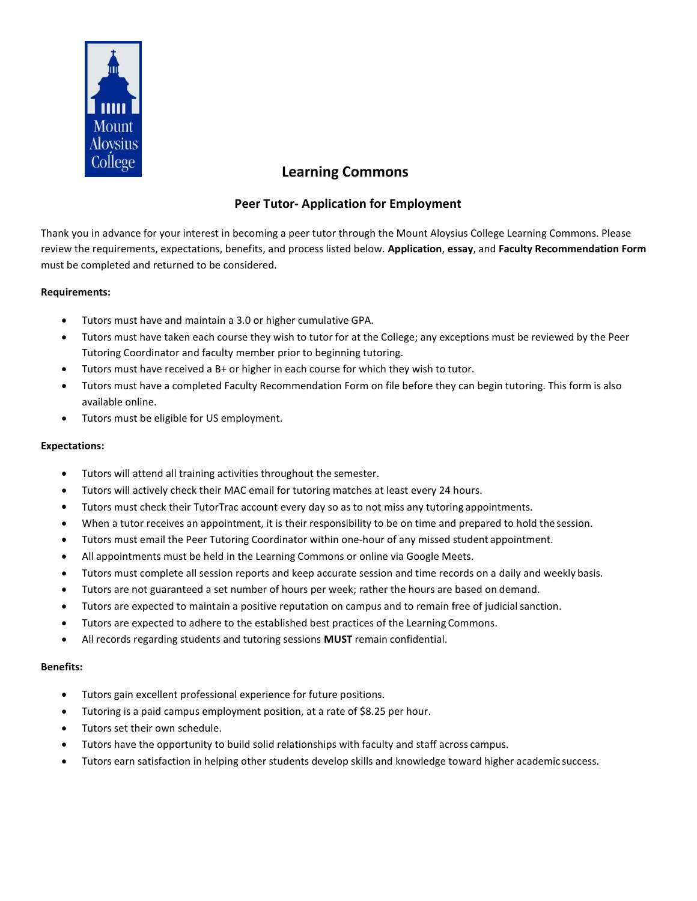

# Learning Commons

## Peer Tutor- Application for Employment

Thank you in advance for your interest in becoming a peer tutor through the Mount Aloysius College Learning Commons. Please review the requirements, expectations, benefits, and process listed below. Application, essay, and Faculty Recommendation Form must be completed and returned to be considered.

#### Requirements:

- Tutors must have and maintain a 3.0 or higher cumulative GPA.
- Tutors must have taken each course they wish to tutor for at the College; any exceptions must be reviewed by the Peer Tutoring Coordinator and faculty member prior to beginning tutoring.
- Tutors must have received a B+ or higher in each course for which they wish to tutor.
- Tutors must have a completed Faculty Recommendation Form on file before they can begin tutoring. This form is also available online.
- Tutors must be eligible for US employment.

### Expectations:

- Tutors will attend all training activities throughout the semester.
- Tutors will actively check their MAC email for tutoring matches at least every 24 hours.
- Tutors must check their TutorTrac account every day so as to not miss any tutoring appointments.
- When a tutor receives an appointment, it is their responsibility to be on time and prepared to hold the session.
- Tutors must email the Peer Tutoring Coordinator within one-hour of any missed student appointment.
- All appointments must be held in the Learning Commons or online via Google Meets.
- Tutors must complete all session reports and keep accurate session and time records on a daily and weekly basis.
- Tutors are not guaranteed a set number of hours per week; rather the hours are based on demand.
- Tutors are expected to maintain a positive reputation on campus and to remain free of judicial sanction.
- Tutors are expected to adhere to the established best practices of the Learning Commons.
- All records regarding students and tutoring sessions MUST remain confidential.

#### Benefits:

- Tutors gain excellent professional experience for future positions.
- Tutoring is a paid campus employment position, at a rate of \$8.25 per hour.
- Tutors set their own schedule.
- Tutors have the opportunity to build solid relationships with faculty and staff across campus.
- Tutors earn satisfaction in helping other students develop skills and knowledge toward higher academic success.